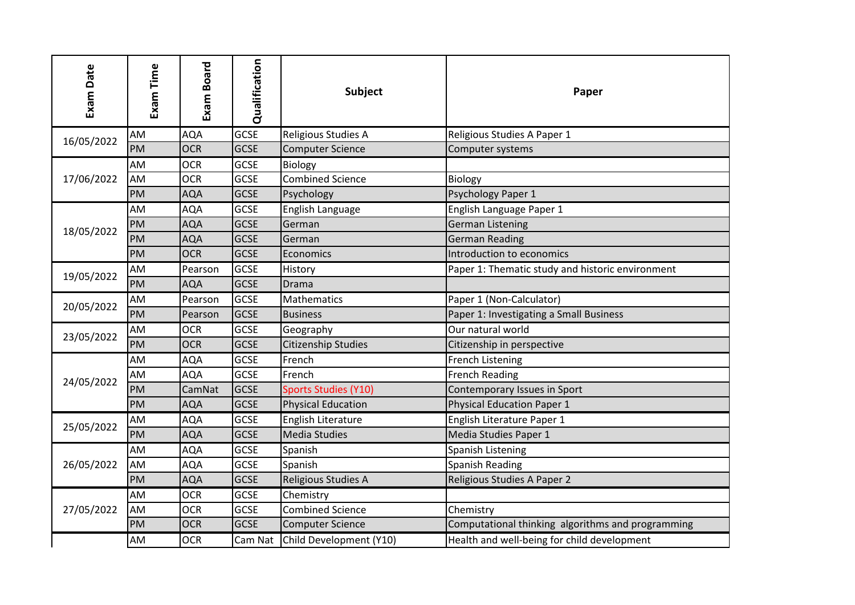| Exam Date  | Exam Time | Exam Board | Qualification | <b>Subject</b>              | Paper                                             |
|------------|-----------|------------|---------------|-----------------------------|---------------------------------------------------|
| 16/05/2022 | AM        | <b>AQA</b> | GCSE          | Religious Studies A         | Religious Studies A Paper 1                       |
|            | PM        | <b>OCR</b> | <b>GCSE</b>   | <b>Computer Science</b>     | Computer systems                                  |
| 17/06/2022 | AM        | <b>OCR</b> | <b>GCSE</b>   | Biology                     |                                                   |
|            | AM        | <b>OCR</b> | GCSE          | <b>Combined Science</b>     | Biology                                           |
|            | PM        | <b>AQA</b> | <b>GCSE</b>   | Psychology                  | Psychology Paper 1                                |
|            | AM        | AQA        | <b>GCSE</b>   | English Language            | English Language Paper 1                          |
|            | PM        | <b>AQA</b> | <b>GCSE</b>   | German                      | <b>German Listening</b>                           |
| 18/05/2022 | PM        | <b>AQA</b> | <b>GCSE</b>   | German                      | <b>German Reading</b>                             |
|            | PM        | <b>OCR</b> | <b>GCSE</b>   | Economics                   | Introduction to economics                         |
| 19/05/2022 | AM        | Pearson    | <b>GCSE</b>   | History                     | Paper 1: Thematic study and historic environment  |
|            | PM        | <b>AQA</b> | <b>GCSE</b>   | Drama                       |                                                   |
|            | AM        | Pearson    | <b>GCSE</b>   | Mathematics                 | Paper 1 (Non-Calculator)                          |
| 20/05/2022 | PM        | Pearson    | <b>GCSE</b>   | <b>Business</b>             | Paper 1: Investigating a Small Business           |
| 23/05/2022 | AM        | <b>OCR</b> | <b>GCSE</b>   | Geography                   | Our natural world                                 |
|            | PM        | <b>OCR</b> | <b>GCSE</b>   | Citizenship Studies         | Citizenship in perspective                        |
|            | AM        | <b>AQA</b> | GCSE          | French                      | <b>French Listening</b>                           |
| 24/05/2022 | AM        | AQA        | <b>GCSE</b>   | French                      | <b>French Reading</b>                             |
|            | PM        | CamNat     | GCSE          | <b>Sports Studies (Y10)</b> | Contemporary Issues in Sport                      |
|            | PM        | <b>AQA</b> | <b>GCSE</b>   | <b>Physical Education</b>   | <b>Physical Education Paper 1</b>                 |
| 25/05/2022 | AM        | <b>AQA</b> | <b>GCSE</b>   | English Literature          | English Literature Paper 1                        |
|            | PM        | <b>AQA</b> | <b>GCSE</b>   | <b>Media Studies</b>        | Media Studies Paper 1                             |
|            | AM        | <b>AQA</b> | <b>GCSE</b>   | Spanish                     | Spanish Listening                                 |
| 26/05/2022 | AM        | <b>AQA</b> | <b>GCSE</b>   | Spanish                     | <b>Spanish Reading</b>                            |
|            | PM        | <b>AQA</b> | <b>GCSE</b>   | Religious Studies A         | Religious Studies A Paper 2                       |
| 27/05/2022 | AM        | <b>OCR</b> | <b>GCSE</b>   | Chemistry                   |                                                   |
|            | AM        | <b>OCR</b> | GCSE          | <b>Combined Science</b>     | Chemistry                                         |
|            | PM        | <b>OCR</b> | <b>GCSE</b>   | <b>Computer Science</b>     | Computational thinking algorithms and programming |
|            | AM        | <b>OCR</b> | Cam Nat       | Child Development (Y10)     | Health and well-being for child development       |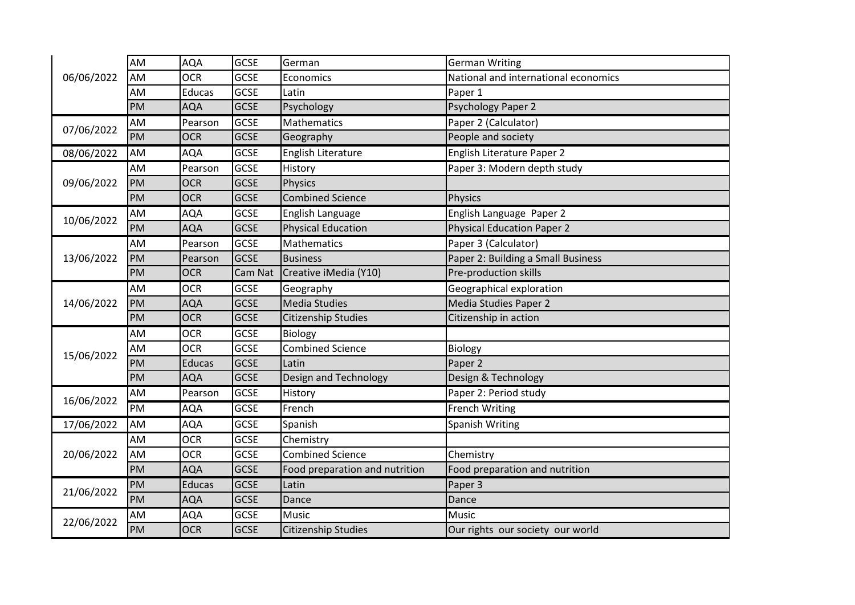| 06/06/2022 | AM        | <b>AQA</b>    | <b>GCSE</b> | German                         | <b>German Writing</b>                |
|------------|-----------|---------------|-------------|--------------------------------|--------------------------------------|
|            | AM        | <b>OCR</b>    | <b>GCSE</b> | Economics                      | National and international economics |
|            | AM        | Educas        | <b>GCSE</b> | Latin                          | Paper 1                              |
|            | <b>PM</b> | <b>AQA</b>    | <b>GCSE</b> | Psychology                     | <b>Psychology Paper 2</b>            |
| 07/06/2022 | AM        | Pearson       | <b>GCSE</b> | Mathematics                    | Paper 2 (Calculator)                 |
|            | PM        | <b>OCR</b>    | <b>GCSE</b> | Geography                      | People and society                   |
| 08/06/2022 | AM        | AQA           | <b>GCSE</b> | English Literature             | English Literature Paper 2           |
| 09/06/2022 | AM        | Pearson       | <b>GCSE</b> | History                        | Paper 3: Modern depth study          |
|            | PM        | <b>OCR</b>    | <b>GCSE</b> | <b>Physics</b>                 |                                      |
|            | PM        | <b>OCR</b>    | <b>GCSE</b> | <b>Combined Science</b>        | <b>Physics</b>                       |
| 10/06/2022 | AM        | AQA           | <b>GCSE</b> | English Language               | English Language Paper 2             |
|            | PM        | <b>AQA</b>    | <b>GCSE</b> | <b>Physical Education</b>      | <b>Physical Education Paper 2</b>    |
| 13/06/2022 | AM        | Pearson       | <b>GCSE</b> | Mathematics                    | Paper 3 (Calculator)                 |
|            | <b>PM</b> | Pearson       | <b>GCSE</b> | <b>Business</b>                | Paper 2: Building a Small Business   |
|            | PM        | <b>OCR</b>    | Cam Nat     | Creative iMedia (Y10)          | Pre-production skills                |
|            | AM        | <b>OCR</b>    | <b>GCSE</b> | Geography                      | Geographical exploration             |
| 14/06/2022 | PM        | AQA           | <b>GCSE</b> | <b>Media Studies</b>           | Media Studies Paper 2                |
|            | PM        | <b>OCR</b>    | <b>GCSE</b> | <b>Citizenship Studies</b>     | Citizenship in action                |
|            | AM        | <b>OCR</b>    | <b>GCSE</b> | <b>Biology</b>                 |                                      |
| 15/06/2022 | AM        | <b>OCR</b>    | <b>GCSE</b> | <b>Combined Science</b>        | Biology                              |
|            | PM        | <b>Educas</b> | <b>GCSE</b> | Latin                          | Paper 2                              |
|            | PM        | AQA           | <b>GCSE</b> | Design and Technology          | Design & Technology                  |
| 16/06/2022 | AM        | Pearson       | <b>GCSE</b> | History                        | Paper 2: Period study                |
|            | PM        | AQA           | <b>GCSE</b> | French                         | <b>French Writing</b>                |
| 17/06/2022 | AM        | <b>AQA</b>    | GCSE        | Spanish                        | <b>Spanish Writing</b>               |
| 20/06/2022 | AM        | <b>OCR</b>    | <b>GCSE</b> | Chemistry                      |                                      |
|            | AM        | <b>OCR</b>    | <b>GCSE</b> | <b>Combined Science</b>        | Chemistry                            |
|            | <b>PM</b> | AQA           | <b>GCSE</b> | Food preparation and nutrition | Food preparation and nutrition       |
| 21/06/2022 | PM        | <b>Educas</b> | <b>GCSE</b> | Latin                          | Paper 3                              |
|            | PM        | AQA           | <b>GCSE</b> | Dance                          | Dance                                |
| 22/06/2022 | AM        | AQA           | <b>GCSE</b> | <b>Music</b>                   | Music                                |
|            | PM        | <b>OCR</b>    | <b>GCSE</b> | <b>Citizenship Studies</b>     | Our rights our society our world     |